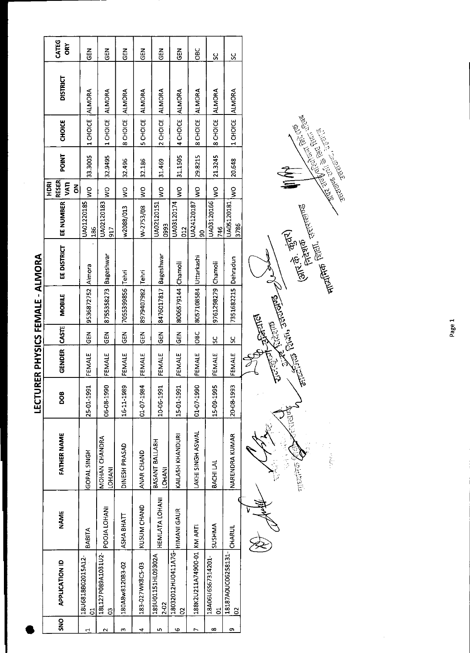LECTURER PHYSICS FEMALE - ALMORA

| ORY<br><b>DISTRICT</b><br><b>CHOICE</b><br><b>POINT</b><br>VATI<br>引 | <b>GEN</b><br><b>ALMORA</b><br>1 CHOICE<br>33.3005<br>$\frac{8}{2}$<br>UA01220185<br>186<br>9536872752 Almora<br>$rac{2}{9}$<br>FEMALE<br>25-01-1991 | <b>SEN</b><br><b>ALMORA</b><br>1 CHOICE<br>32.9495<br>$\frac{1}{2}$<br>UA02120183<br>51<br>Bageshwar<br>8755358273<br><b>GEN</b><br>FEMALE<br>06-08-1990 | <b>GEN</b><br><b>ALMORA</b><br><b>B</b> CHOICE<br>32.496<br>$\frac{1}{2}$<br>w2088/013<br>Tehri<br>7055399856<br>준<br>연<br>FEMALE<br>16-11-1989 | 즶<br><b>ALMORA</b><br><b>SCHOICE</b><br>32.186<br>$\frac{1}{2}$<br>W-2753/08<br> Tehri<br>8979407982<br>$rac{2}{9}$<br>FEMALE<br>01-07 1984 | <b>GEN</b><br><b>ALMORA</b><br>2 CHOICE<br>31.469<br>$\frac{1}{2}$<br>UA02120151<br>0993<br>Bageshwar<br>8476017817<br><b>GEN</b><br>FEMALE<br>10-06-1991 | 군<br>영<br><b>ALMORA</b><br>4 CHOICE<br>31.1505<br>ş<br>UA03120174<br>$\frac{2}{2}$<br>8006579144 Chamoli<br>GEN<br>FEMALE<br>15-01-1991 | <b>DBC</b><br><b>ALMORA</b><br>8 CHOICE<br>29.8215<br>$\frac{8}{2}$<br>UA24120187<br>$\frac{8}{5}$<br>Uttarkashi<br>8057108584<br>OBC<br>FEMALE<br>01-07 1990 | ပ္တ<br><b>ALMORA</b><br>8 CHOICE<br>21.3245<br>Ş<br>UA03120166<br>746<br>9761298279 Chamoli<br>SC<br>FEMALE<br>15-09-1995 | X<br>ALMORA<br>1 CHOICE<br>20.648<br>$\frac{1}{2}$<br>UA05120181<br>3786<br>7351682215 Dehradun<br>ပ္တ<br>FEMALE<br>20-08-1993 | ∖<br>23 年17月 | 17053<br>CRIM<br>المنابع المجال<br>المنابع |
|----------------------------------------------------------------------|------------------------------------------------------------------------------------------------------------------------------------------------------|----------------------------------------------------------------------------------------------------------------------------------------------------------|-------------------------------------------------------------------------------------------------------------------------------------------------|---------------------------------------------------------------------------------------------------------------------------------------------|-----------------------------------------------------------------------------------------------------------------------------------------------------------|-----------------------------------------------------------------------------------------------------------------------------------------|---------------------------------------------------------------------------------------------------------------------------------------------------------------|---------------------------------------------------------------------------------------------------------------------------|--------------------------------------------------------------------------------------------------------------------------------|--------------|--------------------------------------------|
| EE NUMBER                                                            |                                                                                                                                                      |                                                                                                                                                          |                                                                                                                                                 |                                                                                                                                             |                                                                                                                                                           |                                                                                                                                         |                                                                                                                                                               |                                                                                                                           |                                                                                                                                |              |                                            |
| EE DISTRICT                                                          |                                                                                                                                                      |                                                                                                                                                          |                                                                                                                                                 |                                                                                                                                             |                                                                                                                                                           |                                                                                                                                         |                                                                                                                                                               |                                                                                                                           |                                                                                                                                |              |                                            |
| <b>MOBILE</b>                                                        |                                                                                                                                                      |                                                                                                                                                          |                                                                                                                                                 |                                                                                                                                             |                                                                                                                                                           |                                                                                                                                         |                                                                                                                                                               |                                                                                                                           |                                                                                                                                |              |                                            |
| LCASTE                                                               |                                                                                                                                                      |                                                                                                                                                          |                                                                                                                                                 |                                                                                                                                             |                                                                                                                                                           |                                                                                                                                         |                                                                                                                                                               |                                                                                                                           |                                                                                                                                |              |                                            |
| GENDER                                                               |                                                                                                                                                      |                                                                                                                                                          |                                                                                                                                                 |                                                                                                                                             |                                                                                                                                                           |                                                                                                                                         |                                                                                                                                                               |                                                                                                                           |                                                                                                                                |              |                                            |
| <b>DOB</b>                                                           |                                                                                                                                                      |                                                                                                                                                          |                                                                                                                                                 |                                                                                                                                             |                                                                                                                                                           |                                                                                                                                         |                                                                                                                                                               |                                                                                                                           |                                                                                                                                |              |                                            |
| FATHER NAME                                                          | GOPAL SINGH                                                                                                                                          | MOHAN CHANDRA<br><b>LOHANI</b>                                                                                                                           | DINESH PRASAD                                                                                                                                   | ANAR CHAND                                                                                                                                  | BASANT BALLABH<br><b>LOHANI</b>                                                                                                                           | KAILASH KHANDURI                                                                                                                        | LAKHI SINGH ASWAI                                                                                                                                             | BACHI LAL                                                                                                                 | NARENDRA KUMAR                                                                                                                 |              |                                            |
| NAME                                                                 | <b>BABITA</b>                                                                                                                                        | POOJA LOHANI                                                                                                                                             | ASHA BHATT                                                                                                                                      | KUSUM CHAND                                                                                                                                 | HEMLATA LOHANI                                                                                                                                            | <b>HIMANI GAUR</b>                                                                                                                      |                                                                                                                                                               | SUSHMA                                                                                                                    | CHARUL                                                                                                                         |              |                                            |
| <b>APPLICATION ID</b>                                                | 18U6818B02015A12-<br>$\overline{5}$                                                                                                                  | 18L127P089A1031U2-<br>$\mathbf{S}$                                                                                                                       | 180A8w8120B3-02                                                                                                                                 | 183-027WK8C5-03                                                                                                                             | AS06601121103302<br>2-02                                                                                                                                  | 18032012HU0411A7G-<br>$\overline{c}$                                                                                                    | 188K2U211A74900-01 KM ARTI                                                                                                                                    | 18A06U6S67314201-<br><u>៩</u>                                                                                             | 18187A0UC06258131-<br>S                                                                                                        |              |                                            |
| <b>SNO</b>                                                           | ٣                                                                                                                                                    | Ν                                                                                                                                                        | S                                                                                                                                               | 4                                                                                                                                           | LŊ,                                                                                                                                                       | Φ                                                                                                                                       |                                                                                                                                                               | ∞                                                                                                                         | თ                                                                                                                              |              |                                            |

Report of the Control Bank of the Control Bank of the Control Bank of the Control Bank of the Control Bank of **Andrea Estate**<br>Andrea Estate Contents (1) And Comparently of the Company **THE STATE !!** A<br>T **Trings** ig<br>P 

Albertra 2

 $\hat{\boldsymbol{\gamma}}$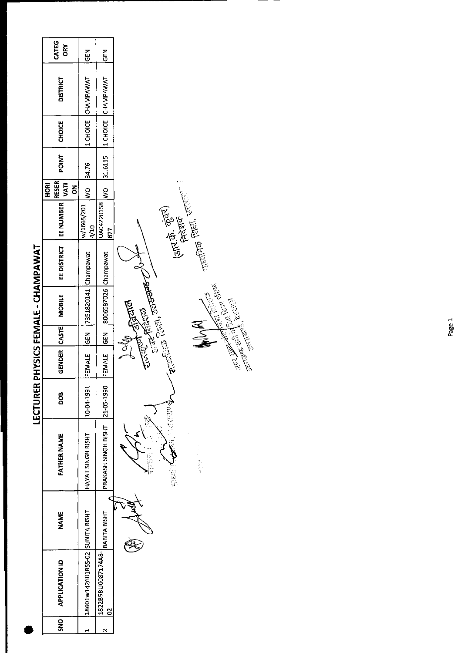| I<br>١ |
|--------|
| I<br>ı |
|        |
|        |
|        |
| I<br>I |
| ı<br>ı |
|        |
| I      |
|        |
|        |
|        |
|        |
|        |
|        |
|        |

|                                 | CATEG<br>ŎR                                   | GEN                             | $rac{5}{9}$                                 |                                                                                                      |
|---------------------------------|-----------------------------------------------|---------------------------------|---------------------------------------------|------------------------------------------------------------------------------------------------------|
|                                 | <b>DISTRICT</b>                               | 1 CHOICE CHAMPAWAT              | 1 CHOICE CHAMPAWAT                          |                                                                                                      |
|                                 | <b>CHOICE</b>                                 |                                 |                                             |                                                                                                      |
|                                 | <b>POINT</b>                                  | 34.76                           | 31.6115                                     |                                                                                                      |
|                                 | <b>RESER</b><br><b>E</b><br>HORI<br>VATI<br>š | $rac{1}{2}$                     | $\frac{1}{2}$                               |                                                                                                      |
|                                 | EE NUMBER                                     | w/1665/201<br>4/10              | UA04220158<br><b>877</b>                    |                                                                                                      |
| YAAYA  AIYUJ - YIYIAIJ CJICI UL | EE DISTRICT                                   |                                 |                                             | $(3\pi^2\hat{\sigma}, \frac{\vec{\Phi}^{(3)}}{2})$ finding $\vec{\Phi}^{(4)}$ and $\vec{\Phi}^{(5)}$ |
|                                 | <b>MOBILE</b>                                 | 7351820141 Champawat            | 8006587026 Champawat                        | 人民民族 1991年 2月19日<br>STRATE STRATEGY ROCK<br>Dublic Hallier<br>Giaz Reicos                            |
|                                 |                                               | $rac{5}{65}$                    | <b>SEN</b>                                  | <b>RASSE</b><br>$\frac{\partial}{\partial \lambda}$                                                  |
|                                 | GENDER CASTE                                  | FEMALE                          | FEMALE                                      |                                                                                                      |
| ヒビコンコンコ                         | DOB                                           | 10-04-1991                      | 21-05-1990                                  |                                                                                                      |
|                                 | <b>FATHER NAME</b>                            | HAYAT SINGH BISHT               | PRAKASH SINGH BISHT                         | 없                                                                                                    |
|                                 | <b>NAME</b>                                   |                                 | <b>BABITA BISHT</b>                         |                                                                                                      |
|                                 | <b>APPLICATION ID</b>                         | 18601w142601B5S-02 SUNITA BISHT | 1822B5BU0087174A8-<br>$\overline{\text{c}}$ |                                                                                                      |
|                                 | SNO <sup>1</sup>                              |                                 | N                                           |                                                                                                      |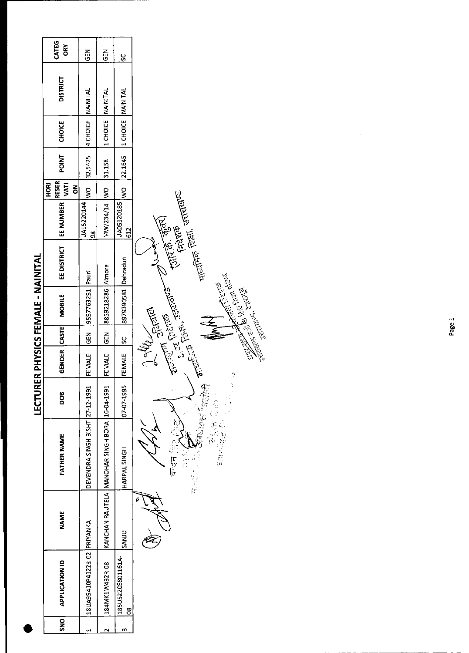|                              | CATEG<br>Ğ               | GEN                              | 모<br>5                                        | <u>s</u>                       |                                                                                                                                                                                                                                                                                                                                                                                                                                                      |
|------------------------------|--------------------------|----------------------------------|-----------------------------------------------|--------------------------------|------------------------------------------------------------------------------------------------------------------------------------------------------------------------------------------------------------------------------------------------------------------------------------------------------------------------------------------------------------------------------------------------------------------------------------------------------|
|                              | <b>DISTRICT</b>          | NAINITAL                         | NAINITAL                                      | <b>NAINITAL</b>                |                                                                                                                                                                                                                                                                                                                                                                                                                                                      |
|                              | <b>CHOICE</b>            | 4 CHOICE                         | 1 CHOICE                                      | 1 CHOICE                       |                                                                                                                                                                                                                                                                                                                                                                                                                                                      |
|                              | <b>POINT</b>             | 32.5425                          | 31.158                                        | 22.1645                        |                                                                                                                                                                                                                                                                                                                                                                                                                                                      |
|                              | VATI<br><b>ROKI</b><br>ξ | $\frac{1}{2}$                    |                                               | ş                              |                                                                                                                                                                                                                                                                                                                                                                                                                                                      |
|                              | EE NUMBER RESER          | UA15220144<br>$\frac{8}{90}$     | MW/234/14 WO                                  | UA05120185<br>612              | $\left(\frac{1}{\sqrt{10}}\right)^{1/2}$ (sheep $\left(\frac{1}{\sqrt{10}}\right)^{1/2}$                                                                                                                                                                                                                                                                                                                                                             |
|                              | EE DISTRICT              | Pauri                            |                                               |                                | $\frac{1}{\sqrt{2}}\int_{0}^{\frac{\pi}{2}}\frac{1}{\sqrt{2}}\left(\frac{\pi}{2}\right)^{2}d\mu\left(\frac{\pi}{2}\right)^{2}d\mu\left(\frac{\pi}{2}\right)^{2}d\mu\left(\frac{\pi}{2}\right)^{2}d\mu\left(\frac{\pi}{2}\right)^{2}d\mu\left(\frac{\pi}{2}\right)^{2}d\mu\left(\frac{\pi}{2}\right)^{2}d\mu\left(\frac{\pi}{2}\right)^{2}d\mu\left(\frac{\pi}{2}\right)^{2}d\mu\left(\frac{\pi}{2}\right)^{2}d\mu\left(\frac{\pi}{2}\right)^{2}d\mu$ |
| ER PHYSICS FEMALE - NAINITAL | <b>MOBILE</b>            | 9557763251                       | 8859218286 Almora                             | 8979390581 Dehradun            | STERNE EN DE LA CORTE DES CRISTIANS                                                                                                                                                                                                                                                                                                                                                                                                                  |
|                              |                          | GEN                              | 군<br>영                                        | <u>يې</u>                      | $\tilde{\geqslant}$                                                                                                                                                                                                                                                                                                                                                                                                                                  |
|                              | GENDER CASTE             | FEMALE                           | FEMALE                                        | FEMALE                         | $\mathcal{P}$                                                                                                                                                                                                                                                                                                                                                                                                                                        |
| LECTUR                       | DOB                      |                                  |                                               | 07-07-1995                     | Control of the Control of Control of Control of Control of Control of Control of Control of Control of Control<br>l,                                                                                                                                                                                                                                                                                                                                 |
|                              | <b>FATHER NAME</b>       | DEVENDRA SINGH BISHT  27-12-1991 | KANCHAN RAUTELA MANOHAR SINGH BORA 16-04-1991 | HARPAL SINGH                   | $\frac{\partial}{\partial \theta}$<br>घण्टन<br>大陆市                                                                                                                                                                                                                                                                                                                                                                                                   |
|                              | <b>NAME</b>              |                                  |                                               | <b>ULIVVS</b>                  |                                                                                                                                                                                                                                                                                                                                                                                                                                                      |
|                              | <b>APPLICATION ID</b>    | 18UA95410P41228-02 PRIYANKA      | 184MK1W432R-08                                | 185U5220S801161A-<br><u>80</u> |                                                                                                                                                                                                                                                                                                                                                                                                                                                      |
|                              | <b>SNS</b>               | ↤                                | Z                                             | w                              |                                                                                                                                                                                                                                                                                                                                                                                                                                                      |

Page 1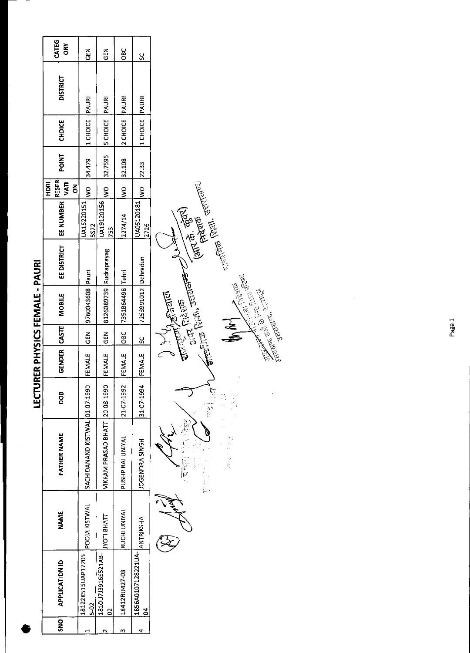| I           |
|-------------|
|             |
|             |
|             |
| ı           |
|             |
|             |
|             |
|             |
|             |
|             |
|             |
|             |
| I<br>ı      |
|             |
|             |
| l<br>i      |
|             |
|             |
|             |
|             |
|             |
|             |
|             |
| I           |
|             |
|             |
|             |
|             |
| I           |
|             |
| I<br>İ<br>ı |
|             |

|     |                                    |                    |                                |            |              |                                           |                             |                         |                    | <b>RESER</b><br>HDRI |                           |                |                 | CATEG        |
|-----|------------------------------------|--------------------|--------------------------------|------------|--------------|-------------------------------------------|-----------------------------|-------------------------|--------------------|----------------------|---------------------------|----------------|-----------------|--------------|
| SNO | <b>APPLICATION ID</b>              | <b>NAME</b>        | <b>FATHER NAME</b>             | DOB<br>D   | GENDER CASTE |                                           | MOBILE                      | EE DISTRICT   EE NUMBER |                    | ξ                    | <b>POINT</b>              | <b>CHDICE</b>  | <b>DISTRICT</b> | <b>ORY</b>   |
|     |                                    |                    |                                |            |              |                                           |                             |                         |                    | š                    |                           |                |                 |              |
|     | 18122K515UAP17205<br>$\frac{2}{5}$ | POOJA KISTWAL      | SACHIDANAND KISTWAL 01-07-1990 |            |              |                                           | FEMALE GEN 9760043608 Pauri |                         | UA15220151<br>5572 |                      | WO 34.479                 | 1 CHOICE PAURI |                 | <b>ABD</b>   |
|     | 1810U7139165521AB-<br>8            | <b>JYOTI BHATT</b> | VIKRAM PRASAD BHATT 20-08-1990 |            | FEMALE       |                                           | GEN 8126089739 Rudraprayag  |                         | UA19120156<br>753  | $\frac{1}{2}$        | 32.7595   5 CHOICE   PAUR |                |                 | $rac{6}{5}$  |
|     | 18412RU427-03                      | RUCHI UNIYAL       | PUSHP RAJ UNIYAL               | 21-07-1992 |              |                                           | FEMALE OBC 7351864498 Tehri |                         | 2274/14            |                      | WO 32.108                 | 2 CHOICE PAURI |                 | $rac{1}{26}$ |
|     | 1856A0107128221UA-<br>ឪ            | ANTRIKSHA          | JOGENDRA SINGH                 | 31-07-1994 | FEMALE  SC   |                                           | 7253991012 Dehradun         |                         | UA05120181<br>2726 | WO 22.33             |                           | 1 CHOICE PAUR  |                 | ပ္တ          |
|     |                                    | جم<br>پ            | くぐ                             |            |              | $\begin{bmatrix} 1 \ 1 \ 2 \end{bmatrix}$ |                             |                         |                    |                      |                           |                |                 |              |

شنتهای اهال هداشتهای (आए.स. कुंतर)<br>(आए.स. कुंतर) العلم<br>بالمحر **CONTACT STATES REPAIR Communication** Te Rel  $\mathcal{L}^{(2)}$  $\mathcal{L}$ 1849年 į, g 医舌的 医螺旋 l, Article 1999  $\sqrt{2}$ 主要的 Mary C.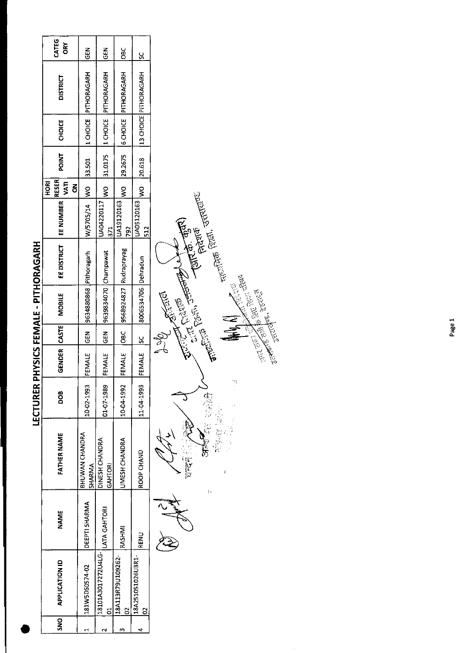| ī |  |
|---|--|
|   |  |
|   |  |
|   |  |
|   |  |
|   |  |
|   |  |
|   |  |
|   |  |
|   |  |
|   |  |
|   |  |
|   |  |
|   |  |
|   |  |
|   |  |
|   |  |

| <b>GEN</b><br>$\frac{6}{6}$<br>$\frac{5}{2}$<br>$\frac{8}{5}$<br>13 CHOICE PITHORAGARH<br>UA04220117 WO 31.0175 1 CHOICE PITHORAGARH<br>$\mu$ A19120163 WO 29.2675 6 CHOICE PITHORAGARH<br>1 CHOICE PITHORAGARH<br>DISTRICT<br><b>CHOICE</b><br>WO 20.618<br><b>POINT</b><br>W/5705/14 WO 33.501<br><b>UATI</b><br>š<br><b>I EE NUMBER  </b><br>JA05120163<br>čć<br>512<br>51<br><b>EE DISTRICT</b><br>EMALE GEN 3634880868 Pithoragarh<br>EMALE OBC 9568924827 Rudraprayag<br>FEMALE GEN 9639834070 Champawat<br>8006534706 Dehradun<br>ENDER CASTE MOBILE<br>FEMALE SC<br>ă<br>10-02-1993<br>01-07-1989<br>11-04-1993<br>10-04-1992<br>80<br><b>BHUWAN CHANDRA</b><br><b>FATHER NAME</b><br><b>UMESH CHANDRA</b><br>DINESH CHANDRA<br>ROOP CHAND<br>GAHTORI<br>SHARMA<br>DEEPTI SHARMA<br>LATA GAHTORI<br><b>NAME</b><br>RASHMI<br><b>RENU</b><br>18101A3017272U4LG-<br>18A113R79U109262-<br>18A251051026U3R1-<br>181W5D50574-02<br>$\frac{1}{2}$ | <b>APPLICATION ID</b> |  |  |  |  | <b>RESER</b><br><b>ROH</b> |  | CATEG      |
|-----------------------------------------------------------------------------------------------------------------------------------------------------------------------------------------------------------------------------------------------------------------------------------------------------------------------------------------------------------------------------------------------------------------------------------------------------------------------------------------------------------------------------------------------------------------------------------------------------------------------------------------------------------------------------------------------------------------------------------------------------------------------------------------------------------------------------------------------------------------------------------------------------------------------------------------------------|-----------------------|--|--|--|--|----------------------------|--|------------|
|                                                                                                                                                                                                                                                                                                                                                                                                                                                                                                                                                                                                                                                                                                                                                                                                                                                                                                                                                     |                       |  |  |  |  |                            |  | <b>ORY</b> |
|                                                                                                                                                                                                                                                                                                                                                                                                                                                                                                                                                                                                                                                                                                                                                                                                                                                                                                                                                     |                       |  |  |  |  |                            |  |            |
|                                                                                                                                                                                                                                                                                                                                                                                                                                                                                                                                                                                                                                                                                                                                                                                                                                                                                                                                                     |                       |  |  |  |  |                            |  |            |
|                                                                                                                                                                                                                                                                                                                                                                                                                                                                                                                                                                                                                                                                                                                                                                                                                                                                                                                                                     |                       |  |  |  |  |                            |  |            |
|                                                                                                                                                                                                                                                                                                                                                                                                                                                                                                                                                                                                                                                                                                                                                                                                                                                                                                                                                     |                       |  |  |  |  |                            |  |            |
|                                                                                                                                                                                                                                                                                                                                                                                                                                                                                                                                                                                                                                                                                                                                                                                                                                                                                                                                                     |                       |  |  |  |  |                            |  |            |
|                                                                                                                                                                                                                                                                                                                                                                                                                                                                                                                                                                                                                                                                                                                                                                                                                                                                                                                                                     |                       |  |  |  |  |                            |  |            |
|                                                                                                                                                                                                                                                                                                                                                                                                                                                                                                                                                                                                                                                                                                                                                                                                                                                                                                                                                     |                       |  |  |  |  |                            |  |            |
|                                                                                                                                                                                                                                                                                                                                                                                                                                                                                                                                                                                                                                                                                                                                                                                                                                                                                                                                                     |                       |  |  |  |  |                            |  |            |

 $\frac{1}{4\pi\epsilon_0\log\left(\frac{1}{\epsilon_0(1-\epsilon_0)}\right)}\cdot\frac{1}{4\pi\epsilon_0\log\left(\frac{1}{\epsilon_0(1-\epsilon_0)}\right)}\cdot\frac{1}{4\pi\epsilon_0\log\left(\frac{1}{\epsilon_0(1-\epsilon_0)}\right)}\cdot\frac{1}{4\pi\epsilon_0\log\left(\frac{1}{\epsilon_0(1-\epsilon_0)}\right)}\cdot\frac{1}{4\pi\epsilon_0\log\left(\frac{1}{\epsilon_0(1-\epsilon_0)}\right)}\cdot\frac{1}{4\pi\epsilon_0\log\left(\frac{1}{\epsilon_0(1-\epsilon_0)}\right)}$ **Antich digital**<br>Antich digital out in the first part of the first of the first of the first of the first of the first of the first of the first of the first of the first of the first of the first of the first of the first of the first of the first of th  $\sqrt{\frac{3}{2}}$ Articles 1 **COLLEGE ROOM** 乙二重 2gy y<br>T **> 全国語** ্য  $\frac{1}{\sqrt{2}}$  $\ddot{.}$  $\overline{\mathbb{R}}$ ا<br>ڪ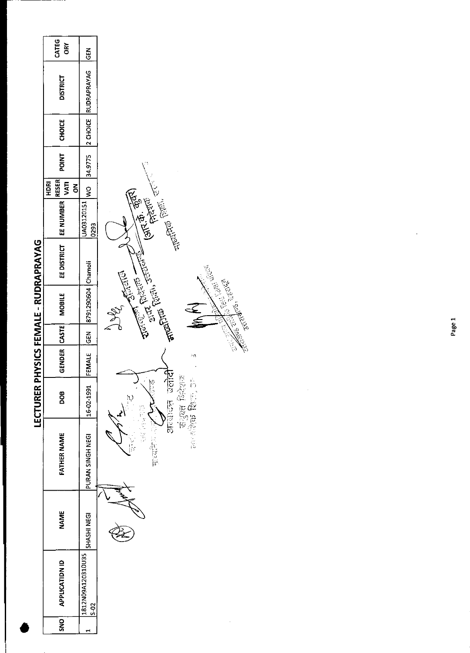|                                       | CATEG<br>ORY                        | <b>GEN</b>                   |                                                                                                                                                                                                                               |
|---------------------------------------|-------------------------------------|------------------------------|-------------------------------------------------------------------------------------------------------------------------------------------------------------------------------------------------------------------------------|
|                                       | <b>DISTRICT</b>                     | <b>RUDRAPRAYAG</b>           |                                                                                                                                                                                                                               |
|                                       | <b>CHOICE</b>                       | 2 CHOICE                     |                                                                                                                                                                                                                               |
|                                       | <b>POINT</b>                        | 34.9775                      |                                                                                                                                                                                                                               |
|                                       | VATI<br><b>HDRI</b><br>$\mathbf{5}$ | $\frac{1}{2}$                |                                                                                                                                                                                                                               |
|                                       | EE NUMBER RESER                     | UA03120151<br>0293           | <b>Carl de de de Carl (1976)</b>                                                                                                                                                                                              |
| LECTURER PHYSICS FEMALE - RUDRAPRAYAG | EE DISTRICT                         |                              | and the first of the Contract of the Contract of the Contract of the Contract of the Contract of the Contract of the Contract of the Contract of the Contract of the Contract of the Contract of the Contract of the Contract |
|                                       | <b>MOBILE</b>                       | 8791290604 Chamoli           | Report of the Report of Street<br><u>Z</u><br>yy.<br>Y<br>$\leq$                                                                                                                                                              |
|                                       |                                     | <b>SEN</b>                   |                                                                                                                                                                                                                               |
|                                       | GENDER CASTE                        | FEMALE                       | жq<br>टेन्,                                                                                                                                                                                                                   |
|                                       | DOB                                 | 16-02-1991                   | 自身使空 起动的<br><b>100 100 100 100 100 100 100</b><br>i<br>P<br>अल्पादन                                                                                                                                                           |
|                                       | <b>FATHER NAME</b>                  | PURAN SINGH NEGI             | 5<br>Ş<br>在市                                                                                                                                                                                                                  |
|                                       | <b>NAME</b>                         | <b>SHASHI NEGI</b>           |                                                                                                                                                                                                                               |
|                                       | <b>APPLICATIDN ID</b>               | 1812N09A120310U35<br>$5-0.2$ |                                                                                                                                                                                                                               |
|                                       | SNO                                 | Н                            |                                                                                                                                                                                                                               |
|                                       |                                     |                              |                                                                                                                                                                                                                               |

Page 1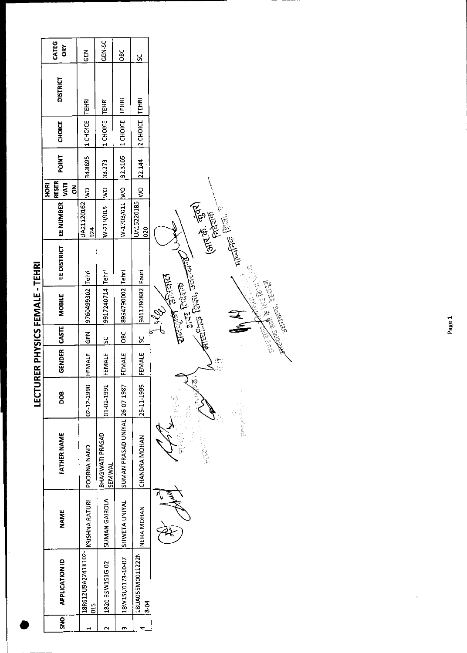| I<br>I |
|--------|
|        |
|        |
|        |
|        |
|        |
|        |
|        |
|        |
|        |
|        |
|        |
|        |
|        |
|        |
|        |
|        |
|        |
|        |
| I      |
|        |
|        |
|        |
|        |
|        |
|        |
|        |

|                               |            | CATEG<br><b>ORY</b>   | 199                                  | GEN <sub>SC</sub>         | <b>DBC</b>                     | ပ္တ                          |                                                                                                                                                                                                                                                                                                                                                                                                                                                                                                                                                                                                                                                                                                                                                                                                                                                              |
|-------------------------------|------------|-----------------------|--------------------------------------|---------------------------|--------------------------------|------------------------------|--------------------------------------------------------------------------------------------------------------------------------------------------------------------------------------------------------------------------------------------------------------------------------------------------------------------------------------------------------------------------------------------------------------------------------------------------------------------------------------------------------------------------------------------------------------------------------------------------------------------------------------------------------------------------------------------------------------------------------------------------------------------------------------------------------------------------------------------------------------|
|                               |            | <b>DISTRICT</b>       | <b>TEHRI</b>                         | <b>TEHRI</b>              | <b>TEHRI</b>                   | <b>TEHRI</b>                 |                                                                                                                                                                                                                                                                                                                                                                                                                                                                                                                                                                                                                                                                                                                                                                                                                                                              |
|                               |            | <b>CHOICE</b>         | 1 CHOICE                             | 1 CHOICE                  | 11 CHOICE                      | 2 CHOICE                     |                                                                                                                                                                                                                                                                                                                                                                                                                                                                                                                                                                                                                                                                                                                                                                                                                                                              |
|                               |            | POINT                 | 34.8695                              | 33.273                    | 32.3105                        | 22.144                       |                                                                                                                                                                                                                                                                                                                                                                                                                                                                                                                                                                                                                                                                                                                                                                                                                                                              |
|                               | <b>ROH</b> | VATI<br>š             | $\frac{1}{2}$                        | $\frac{1}{2}$             |                                | $\frac{1}{3}$                |                                                                                                                                                                                                                                                                                                                                                                                                                                                                                                                                                                                                                                                                                                                                                                                                                                                              |
|                               |            | EE NUMBER RESER       | UA21120162<br>924                    | W-219/015                 | W-1703/011 WO                  | UA15220185<br>020            | (आर.के. कुंतर)<br>(आर.के. कुंतर)<br>$\frac{1}{\sqrt{2}}\left(\frac{1}{\sqrt{2}}\right)^{1/2}$                                                                                                                                                                                                                                                                                                                                                                                                                                                                                                                                                                                                                                                                                                                                                                |
|                               |            | <b>EE DISTRICT</b>    |                                      |                           |                                |                              |                                                                                                                                                                                                                                                                                                                                                                                                                                                                                                                                                                                                                                                                                                                                                                                                                                                              |
| IN LITT - "コイINI" ワンワーロム ビビビコ |            | <b>MOBILE</b>         | 9760499302 Tehri                     | 9917240714 Tehri          | 8954790002 Tehri               | 9411780882 Pauri             | $\frac{1}{\sqrt{2}}\sum_{n=1}^{\infty}\frac{1}{n!}\sum_{n=1}^{\infty}\frac{1}{n!}\sum_{n=1}^{\infty}\frac{1}{n!}\sum_{n=1}^{\infty}\frac{1}{n!}\sum_{n=1}^{\infty}\frac{1}{n!}\sum_{n=1}^{\infty}\frac{1}{n!}\sum_{n=1}^{\infty}\frac{1}{n!}\sum_{n=1}^{\infty}\frac{1}{n!}\sum_{n=1}^{\infty}\frac{1}{n!}\sum_{n=1}^{\infty}\frac{1}{n!}\sum_{n=1}^{\infty}\frac{1}{n!}\sum_{n=1}^{\infty}\$<br>Article 30 to the Party of Case of the Contractor<br>$\frac{1}{\sqrt{2}}$ $\frac{1}{\sqrt{2}}$ $\frac{1}{\sqrt{2}}$ $\frac{1}{\sqrt{2}}$ $\frac{1}{\sqrt{2}}$ $\frac{1}{\sqrt{2}}$ $\frac{1}{\sqrt{2}}$ $\frac{1}{\sqrt{2}}$ $\frac{1}{\sqrt{2}}$ $\frac{1}{\sqrt{2}}$ $\frac{1}{\sqrt{2}}$ $\frac{1}{\sqrt{2}}$ $\frac{1}{\sqrt{2}}$ $\frac{1}{\sqrt{2}}$ $\frac{1}{\sqrt{2}}$ $\frac{1}{\sqrt{2}}$ $\frac{1}{\sqrt{2}}$<br>3717375, 2527753<br>and factor |
|                               |            |                       | <b>GEN</b>                           | <u>ss</u>                 | OBC                            | <u>ي</u>                     |                                                                                                                                                                                                                                                                                                                                                                                                                                                                                                                                                                                                                                                                                                                                                                                                                                                              |
|                               |            | GENDER CASTE          | FEMALE                               | FEMALE                    | FEMALE                         | FEMALE                       |                                                                                                                                                                                                                                                                                                                                                                                                                                                                                                                                                                                                                                                                                                                                                                                                                                                              |
| ו טב<br>נ                     |            | DOB                   | 02-12-1990                           | 01-01-1991                |                                | 25-11-1995                   | 诃<br>h)<br>V                                                                                                                                                                                                                                                                                                                                                                                                                                                                                                                                                                                                                                                                                                                                                                                                                                                 |
|                               |            | FATHER NAME           | POORNA NAND                          | BHAGWATI PRASAD<br>SEMWAL | SUMAN PRASAD UNIYAL 26-07-1987 | CHANDRA MOHAN                | <b>Ware Architect</b>                                                                                                                                                                                                                                                                                                                                                                                                                                                                                                                                                                                                                                                                                                                                                                                                                                        |
|                               |            | <b>NAME</b>           | KRISHNA RATURI                       | <b>SUMAN GAIROLA</b>      | SHWETA UNIYAL                  | NEHA MOHAN                   |                                                                                                                                                                                                                                                                                                                                                                                                                                                                                                                                                                                                                                                                                                                                                                                                                                                              |
|                               |            | <b>APPLICATION ID</b> | 18R612U9A2241K102-<br>$\frac{15}{2}$ | 1820-95W1S1G-02           | 18W1SU0173-10-07               | 18UA055M0011222N<br>$8 - 04$ |                                                                                                                                                                                                                                                                                                                                                                                                                                                                                                                                                                                                                                                                                                                                                                                                                                                              |
|                               |            | <b>SNS</b>            |                                      | $\mathbf{\sim}$           | m                              | 4                            |                                                                                                                                                                                                                                                                                                                                                                                                                                                                                                                                                                                                                                                                                                                                                                                                                                                              |
|                               |            |                       |                                      |                           |                                |                              |                                                                                                                                                                                                                                                                                                                                                                                                                                                                                                                                                                                                                                                                                                                                                                                                                                                              |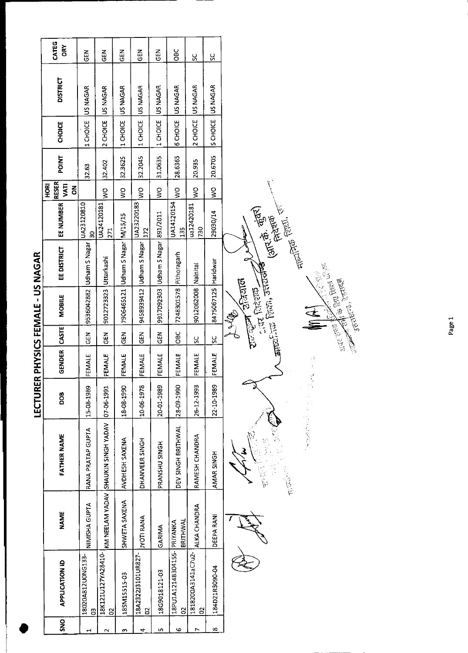| ı |
|---|
|   |
|   |
|   |
|   |
|   |
|   |
|   |
|   |
|   |
|   |
| I |
|   |
|   |
|   |
|   |
|   |
|   |
|   |
|   |
|   |
|   |
|   |
| י |
| i |
|   |
|   |
|   |
|   |
|   |
|   |
|   |

|              | <b>APPLICATION ID</b>       | <b>NAME</b>       | <b>FATHER NAME</b>                  | <b>BOD</b> | GENDER            | <b>CASTE</b>       | <b>MOBILE</b>                                                                                                                                                                                              | EE DISTRICT           | EE NUMBER                                                                                                                      | <b>RESER</b><br><b>PORT</b><br><b>S</b><br>š | <b>POINT</b> | <b>CHOICE</b> | <b>DISTRICT</b> | CATEG<br>ŎŔ |
|--------------|-----------------------------|-------------------|-------------------------------------|------------|-------------------|--------------------|------------------------------------------------------------------------------------------------------------------------------------------------------------------------------------------------------------|-----------------------|--------------------------------------------------------------------------------------------------------------------------------|----------------------------------------------|--------------|---------------|-----------------|-------------|
| $\mathbf{B}$ | 18020A812U0NG133-           | NIMISHA GUPTA     | RANA PRATAP GUPTA                   | 15-08-1989 | EMALE<br>щ.       | <b>GEN</b>         | 9536042882                                                                                                                                                                                                 | <b>Udham S Nagar</b>  | UA23120810<br>္က                                                                                                               |                                              | 32.63        | 1 CHOICE      | US NAGAR        | មិ<br>ច     |
| $\mathbf{S}$ | 18K121U127YA28410-          |                   | KM NEELAM YADAV SHAUKIN SINGH YADAV | 07-06-1991 | EMALE<br>ц,       | $\frac{2}{9}$      | 9012723323                                                                                                                                                                                                 | Uttarkashi            | UA24120181<br>271                                                                                                              | ş                                            | 32.402       | 2 CHOICE      | US NAGAR        | 집<br>영      |
|              | 18SM1S515-03                | SHWETA SAXENA     | AVDHESH SAXENA                      | 18-08-1990 | <b>EMALE</b><br>ட | ទី<br>ច            | 7906465121                                                                                                                                                                                                 | Udham S Nagar M/15/15 |                                                                                                                                | Ş                                            | 32.3625      | 1 CHOICE      | US NAGAR        | EN<br>영     |
| 8            | 18A2322J3101UR827-          | <b>JYOTI RANA</b> | DHANVEER SINGH                      | 10-06-1978 | EMALE<br>ட்       | $\frac{2}{9}$      | 9458939412                                                                                                                                                                                                 | <b>Udham S Nagar</b>  | UA23220183<br>172                                                                                                              | $\frac{1}{2}$                                | 32.2045      | 1 CHOICE      | US NAGAR        | るじ          |
|              | 18G9018121-03               | GARIMA            | PRANSHU SINGH                       | 20 01 1989 | EMALE<br>ட        | M30                | 9917092303                                                                                                                                                                                                 | Udham S Nagar         | 891/2011                                                                                                                       | Ş                                            | 31.0635      | 1 CHOICE      | US NAGAR        | 집<br>5      |
| 8            | 18PU1A1214B304155- PRIYANKA | BRITHWAL          | DEV SINGH BRITHWAL                  | 28-09-1990 | EMALE<br>ட        | OBC                | 7248301578                                                                                                                                                                                                 | Pithoragarh           | UA14120154<br>135                                                                                                              | $\frac{1}{2}$                                | 28.6365      | 6 CHOICE      | US NAGAR        | <b>OBC</b>  |
| 8            | 1818200A3141aC7u2-          | ALKA CHANDRA      | RAMESH CHANDRA                      | 26-12-1993 | EMALE<br>ட        | ပ္တ                | 9012062008 Nainital                                                                                                                                                                                        |                       | ua12420181<br>730                                                                                                              | Ş                                            | 20.935       | 2 CHOICE      | US NAGAR        | Š           |
|              | 184D21R3090-04              | <b>DEEPA RANI</b> | AMAR SINGH                          | 22-10-1989 | FEMALE            | SC                 | 8475067125 Haridwar                                                                                                                                                                                        |                       | 29030/14                                                                                                                       | ş                                            | 20.6705      | 5 CHOICE      | US NAGAR        | χ           |
|              |                             |                   | 海岸西岸                                | ピンク<br>÷,  | 计划                | sint that <b>b</b> | <b>Communication of the American Activity</b><br><b>THE COLOR STREET</b><br>उत्तरीस <sup>रक, ट्</sup> हरादल<br>उत्तरीसरके<br>$\frac{1}{2\pi\sqrt{2}}$ $\frac{1}{2\sqrt{2}}$<br><b>STAR PROPER</b><br>Lello | Ò<br>意念               | (आर.के. कुंतर)<br>(आर.के. कुंतर)<br>$\frac{1}{\sqrt{2}}\left(\frac{1}{\sqrt{2}}\right)^{2}\left(\frac{1}{\sqrt{2}}\right)^{2}$ |                                              |              |               |                 |             |